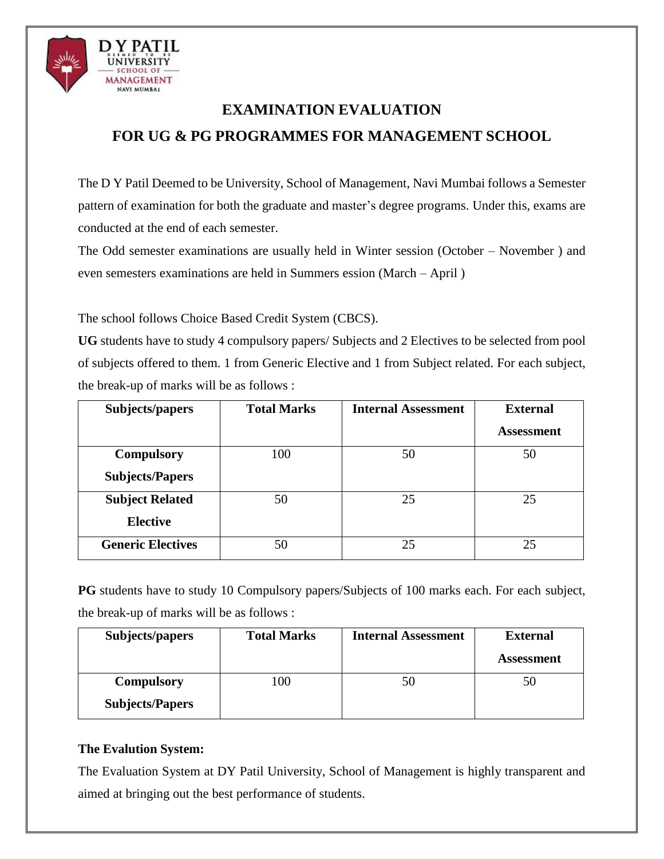

# **EXAMINATION EVALUATION FOR UG & PG PROGRAMMES FOR MANAGEMENT SCHOOL**

The D Y Patil Deemed to be University, School of Management, Navi Mumbai follows a Semester pattern of examination for both the graduate and master's degree programs. Under this, exams are conducted at the end of each semester.

The Odd semester examinations are usually held in Winter session (October – November ) and even semesters examinations are held in Summers ession (March – April )

The school follows Choice Based Credit System (CBCS).

**UG** students have to study 4 compulsory papers/ Subjects and 2 Electives to be selected from pool of subjects offered to them. 1 from Generic Elective and 1 from Subject related. For each subject, the break-up of marks will be as follows :

| Subjects/papers          | <b>Total Marks</b> | <b>Internal Assessment</b> | <b>External</b>   |
|--------------------------|--------------------|----------------------------|-------------------|
|                          |                    |                            | <b>Assessment</b> |
| <b>Compulsory</b>        | 100                | 50                         | 50                |
| <b>Subjects/Papers</b>   |                    |                            |                   |
| <b>Subject Related</b>   | 50                 | 25                         | 25                |
| <b>Elective</b>          |                    |                            |                   |
| <b>Generic Electives</b> | 50                 | 25                         | 25                |

**PG** students have to study 10 Compulsory papers/Subjects of 100 marks each. For each subject, the break-up of marks will be as follows :

| Subjects/papers        | <b>Total Marks</b> | <b>Internal Assessment</b> | <b>External</b>   |
|------------------------|--------------------|----------------------------|-------------------|
|                        |                    |                            | <b>Assessment</b> |
| <b>Compulsory</b>      | 00                 | 50                         | 50                |
| <b>Subjects/Papers</b> |                    |                            |                   |

# **The Evalution System:**

The Evaluation System at DY Patil University, School of Management is highly transparent and aimed at bringing out the best performance of students.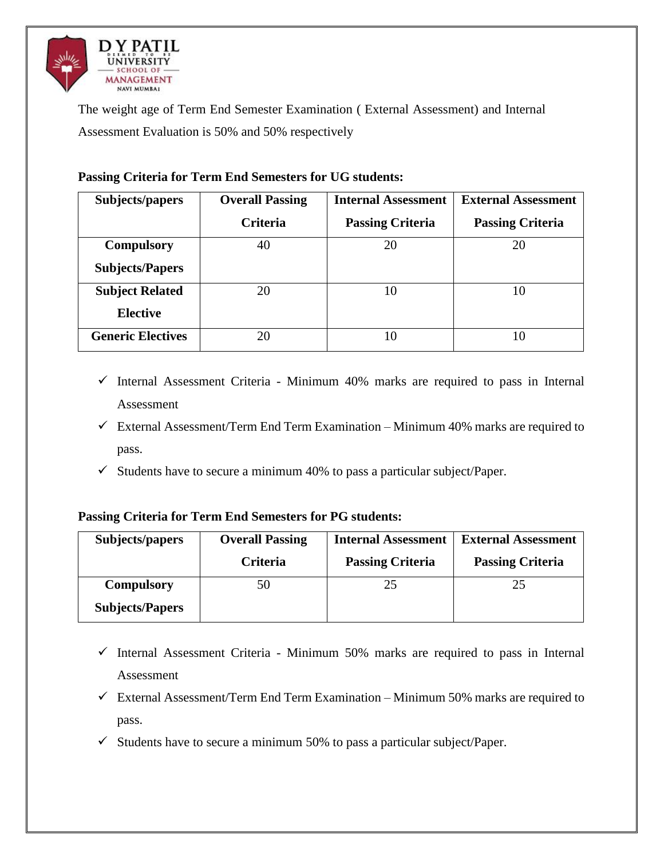

The weight age of Term End Semester Examination ( External Assessment) and Internal Assessment Evaluation is 50% and 50% respectively

| Subjects/papers          | <b>Overall Passing</b> | <b>Internal Assessment</b> | <b>External Assessment</b> |
|--------------------------|------------------------|----------------------------|----------------------------|
|                          | <b>Criteria</b>        | <b>Passing Criteria</b>    | <b>Passing Criteria</b>    |
| <b>Compulsory</b>        | 40                     | 20                         | 20                         |
| <b>Subjects/Papers</b>   |                        |                            |                            |
| <b>Subject Related</b>   | 20                     | 10                         | 10                         |
| <b>Elective</b>          |                        |                            |                            |
| <b>Generic Electives</b> | 20                     | 10                         | 10                         |

# **Passing Criteria for Term End Semesters for UG students:**

- $\checkmark$  Internal Assessment Criteria Minimum 40% marks are required to pass in Internal Assessment
- $\checkmark$  External Assessment/Term End Term Examination Minimum 40% marks are required to pass.
- $\checkmark$  Students have to secure a minimum 40% to pass a particular subject/Paper.

## **Passing Criteria for Term End Semesters for PG students:**

| Subjects/papers        | <b>Overall Passing</b> | <b>Internal Assessment</b> | <b>External Assessment</b> |
|------------------------|------------------------|----------------------------|----------------------------|
|                        | <b>Criteria</b>        | <b>Passing Criteria</b>    | <b>Passing Criteria</b>    |
| <b>Compulsory</b>      | 50                     | 25                         | 25                         |
| <b>Subjects/Papers</b> |                        |                            |                            |

- $\checkmark$  Internal Assessment Criteria Minimum 50% marks are required to pass in Internal Assessment
- $\checkmark$  External Assessment/Term End Term Examination Minimum 50% marks are required to pass.
- $\checkmark$  Students have to secure a minimum 50% to pass a particular subject/Paper.